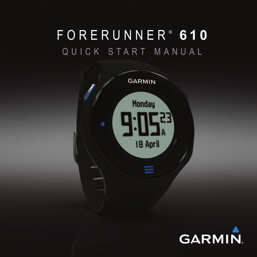# F O R E R U N N E R ®  **6 1 0** Q U I C K S T A R T M A N U A L



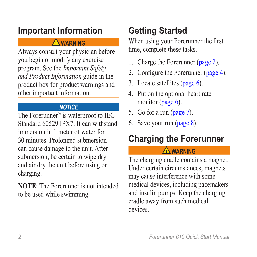### **Important Information**

#### **warning**

Always consult your physician before you begin or modify any exercise program. See the *Important Safety and Product Information* guide in the product box for product warnings and other important information.

#### *notice*

The Forerunner® is waterproof to IEC Standard 60529 IPX7. It can withstand immersion in 1 meter of water for 30 minutes. Prolonged submersion can cause damage to the unit. After submersion, be certain to wipe dry and air dry the unit before using or charging.

**NOTE:** The Forerunner is not intended to be used while swimming.

## **Getting Started**

When using your Forerunner the first time, complete these tasks.

- 1. Charge the Forerunner ([page 2](#page-1-0)).
- 2. Configure the Forerunner [\(page 4\)](#page-3-0).
- 3. Locate satellites ([page 6](#page-5-0)).
- 4. Put on the optional heart rate monitor ([page 6](#page-5-1)).
- 5. Go for a run ([page 7](#page-6-0)).
- 6. Save your run ([page 8](#page-7-0)).

## <span id="page-1-0"></span>**Charging the Forerunner**

#### **warning**

The charging cradle contains a magnet. Under certain circumstances, magnets may cause interference with some medical devices, including pacemakers and insulin pumps. Keep the charging cradle away from such medical devices.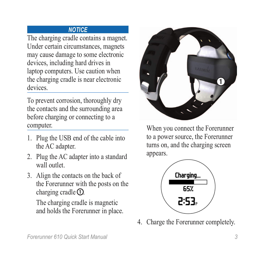#### *notice*

The charging cradle contains a magnet. Under certain circumstances, magnets may cause damage to some electronic devices, including hard drives in laptop computers. Use caution when the charging cradle is near electronic devices.

To prevent corrosion, thoroughly dry the contacts and the surrounding area before charging or connecting to a computer.

- 1. Plug the USB end of the cable into the AC adapter.
- 2. Plug the AC adapter into a standard wall outlet.
- 3. Align the contacts on the back of the Forerunner with the posts on the charging cradle  $\Omega$ .

The charging cradle is magnetic and holds the Forerunner in place.



When you connect the Forerunner to a power source, the Forerunner turns on, and the charging screen appears.



4. Charge the Forerunner completely.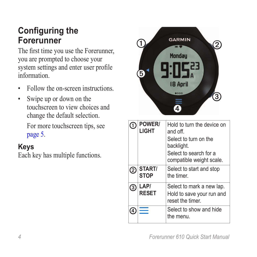### <span id="page-3-0"></span>**Configuring the Forerunner**

The first time you use the Forerunner, you are prompted to choose your system settings and enter user profile information.

- Follow the on-screen instructions.
- Swipe up or down on the touchscreen to view choices and change the default selection.

For more touchscreen tips, see [page 5](#page-4-0).

#### **Keys**

Each key has multiple functions.



|   | <b>POWER/</b><br>LIGHT | Hold to turn the device on<br>and off<br>Select to turn on the<br>backlight.<br>Select to search for a<br>compatible weight scale. |
|---|------------------------|------------------------------------------------------------------------------------------------------------------------------------|
| 2 | START/<br><b>STOP</b>  | Select to start and stop<br>the timer                                                                                              |
| 3 | LAP/<br><b>RESET</b>   | Select to mark a new lap.<br>Hold to save your run and<br>reset the timer.                                                         |
| 4 |                        | Select to show and hide<br>the menu.                                                                                               |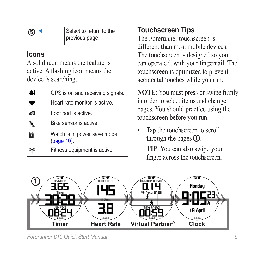| $\bigcap$ | Select to return to the |
|-----------|-------------------------|
|           | previous page.          |

#### **Icons**

A solid icon means the feature is active. A flashing icon means the device is searching.

| I₩             | GPS is on and receiving signals.          |
|----------------|-------------------------------------------|
| ۰              | Heart rate monitor is active.             |
| đО             | Foot pod is active.                       |
|                | Bike sensor is active.                    |
| 6              | Watch is in power save mode<br>(page 10). |
| $(\mathbf{r})$ | Fitness equipment is active.              |

#### <span id="page-4-0"></span>**Touchscreen Tips**

The Forerunner touchscreen is different than most mobile devices The touchscreen is designed so you can operate it with your fingernail. The touchscreen is optimized to prevent accidental touches while you run.

**NOTE**: You must press or swipe firmly in order to select items and change pages. You should practice using the touchscreen before you run.

Tap the touchscreen to scroll through the pages  $\Omega$ .

> **TIP**: You can also swipe your finger across the touchscreen.

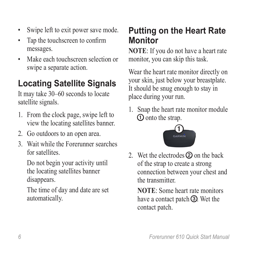- Swipe left to exit power save mode.
- Tap the touchscreen to confirm messages.
- Make each touchscreen selection or swipe a separate action.

## <span id="page-5-0"></span>**Locating Satellite Signals**

It may take 30–60 seconds to locate satellite signals.

- 1. From the clock page, swipe left to view the locating satellites banner.
- 2. Go outdoors to an open area.
- 3. Wait while the Forerunner searches for satellites.

Do not begin your activity until the locating satellites banner disappears.

The time of day and date are set automatically.

### <span id="page-5-1"></span>**Putting on the Heart Rate Monitor**

**NOTE**: If you do not have a heart rate monitor, you can skip this task.

Wear the heart rate monitor directly on your skin, just below your breastplate. It should be snug enough to stay in place during your run.

1. Snap the heart rate monitor module ➊ onto the strap.



2. Wet the electrodes  $\Omega$  on the back of the strap to create a strong connection between your chest and the transmitter.

**NOTE:** Some heart rate monitors have a contact patch **③**. Wet the contact patch.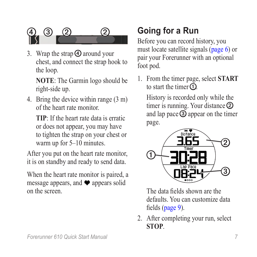

3. Wrap the strap  $\bigoplus$  around your chest, and connect the strap hook to the loop.

**NOTE**: The Garmin logo should be right-side up.

4. Bring the device within range (3 m) of the heart rate monitor.

**TIP**: If the heart rate data is erratic or does not appear, you may have to tighten the strap on your chest or warm up for 5–10 minutes.

After you put on the heart rate monitor, it is on standby and ready to send data.

When the heart rate monitor is paired, a message appears, and  $\blacktriangleright$  appears solid on the screen.

## <span id="page-6-0"></span>**Going for a Run**

Before you can record history, you must locate satellite signals [\(page 6\)](#page-5-0) or pair your Forerunner with an optional foot pod.

1. From the timer page, select **START** to start the timer  $\Omega$ 

History is recorded only while the timer is running. Your distance  $\circled{2}$ and lap pace ➌ appear on the timer page.



The data fields shown are the defaults. You can customize data fields [\(page 9\)](#page-8-0).

2. After completing your run, select **STOP**.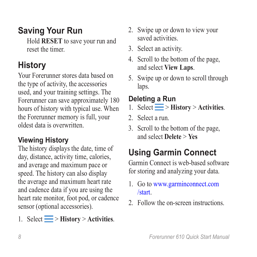## <span id="page-7-0"></span>**Saving Your Run**

Hold **RESET** to save your run and reset the timer.

## **History**

Your Forerunner stores data based on the type of activity, the accessories used, and your training settings. The Forerunner can save approximately 180 hours of history with typical use. When the Forerunner memory is full, your oldest data is overwritten.

#### **Viewing History**

The history displays the date, time of day, distance, activity time, calories, and average and maximum pace or speed. The history can also display the average and maximum heart rate and cadence data if you are using the heart rate monitor, foot pod, or cadence sensor (optional accessories).

1. Select  $\equiv$  > **History** > **Activities**.

- 2. Swipe up or down to view your saved activities.
- 3. Select an activity.
- 4. Scroll to the bottom of the page, and select **View Laps**.
- 5. Swipe up or down to scroll through laps.

### **Deleting a Run**

- 1. Select  $\equiv$  > **History** > **Activities**.
- 2. Select a run.
- 3. Scroll to the bottom of the page, and select **Delete** > **Yes**

## **Using Garmin Connect**

Garmin Connect is web-based software for storing and analyzing your data.

- 1. Go to [www.garminconnect.com](www.garminconnect.com/start) [/start](www.garminconnect.com/start).
- 2. Follow the on-screen instructions.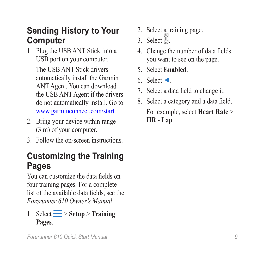### **Sending History to Your Computer**

1. Plug the USB ANT Stick into a USB port on your computer.

The USB ANT Stick drivers automatically install the Garmin ANT Agent. You can download the USB ANT Agent if the drivers do not automatically install. Go to <www.garminconnect.com/start>.

- 2. Bring your device within range (3 m) of your computer.
- 3. Follow the on-screen instructions.

### <span id="page-8-0"></span>**Customizing the Training Pages**

You can customize the data fields on four training pages. For a complete list of the available data fields, see the *Forerunner 610 Owner's Manual*.

#### 1. Select  $\equiv$  > Setup > Training **Pages**.

- 2. Select a training page.
- 3. Select  $\mathbb{Z}$ .
- 4. Change the number of data fields you want to see on the page.
- 5. Select **Enabled**.
- 6. Select ◄.
- 7. Select a data field to change it.
- 8. Select a category and a data field. For example, select **Heart Rate** > **HR - Lap**.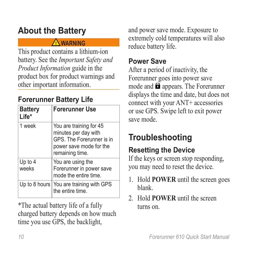## **About the Battery**

#### **warning**

This product contains a lithium-ion battery. See the *Important Safety and Product Information* guide in the product box for product warnings and other important information.

### **Forerunner Battery Life**

| <b>Battery</b><br>Life* | <b>Forerunner Use</b>                                                                                                      |
|-------------------------|----------------------------------------------------------------------------------------------------------------------------|
| 1 week                  | You are training for 45<br>minutes per day with<br>GPS. The Forerunner is in<br>power save mode for the<br>remaining time. |
| Up to 4<br>weeks        | You are using the<br>Forerunner in power save<br>mode the entire time.                                                     |
|                         | Up to 8 hours   You are training with GPS<br>the entire time.                                                              |

\*The actual battery life of a fully charged battery depends on how much time you use GPS, the backlight,

and power save mode. Exposure to extremely cold temperatures will also reduce battery life.

#### <span id="page-9-0"></span>**Power Save**

After a period of inactivity, the Forerunner goes into power save mode and  $\blacksquare$  appears. The Forerunner displays the time and date, but does not connect with your ANT+ accessories or use GPS. Swipe left to exit power save mode.

## **Troubleshooting**

### **Resetting the Device**

If the keys or screen stop responding, you may need to reset the device.

- 1. Hold **POWER** until the screen goes blank.
- 2. Hold **POWER** until the screen turns on.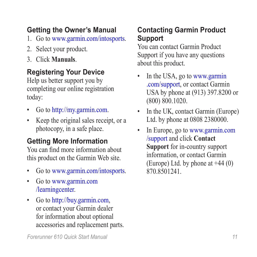#### **Getting the Owner's Manual**

- 1. Go to [www.garmin.com/intosports.](www.garmin.com/intosports)
- 2. Select your product.
- 3. Click **Manuals**.

#### **Registering Your Device**

Help us better support you by completing our online registration today:

- Go to [http://my.garmin.com.](http://my.garmin.com)
- Keep the original sales receipt, or a photocopy, in a safe place.

#### **Getting More Information**

You can find more information about this product on the Garmin Web site.

- Go to [www.garmin.com/intosports.](www.garmin.com/intosports)
- Go to [www.garmin.com](www.garmin.com/learningcenter) [/learningcenter.](www.garmin.com/learningcenter)
- Go to [http://buy.garmin.com,](http://buy.garmin.com) or contact your Garmin dealer for information about optional accessories and replacement parts.

#### **Contacting Garmin Product Support**

You can contact Garmin Product Support if you have any questions about this product.

- In the USA, go to [www.garmin](www.garmin.com/support) [.com/support,](www.garmin.com/support) or contact Garmin USA by phone at (913) 397.8200 or (800) 800.1020.
- In the UK, contact Garmin (Europe) Ltd. by phone at 0808 2380000.
- In Europe, go to [www.garmin.com](www.garmin.com/support) [/support](www.garmin.com/support) and click **Contact Support** for in-country support information, or contact Garmin (Europe) Ltd. by phone at  $+44(0)$ 870.8501241.